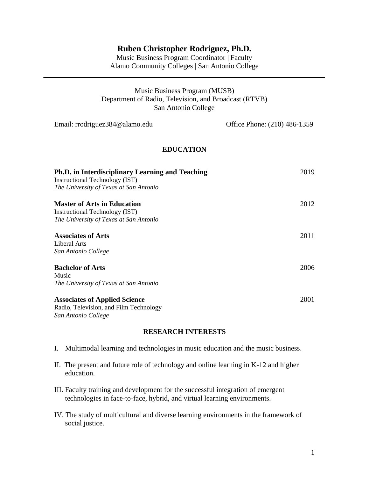# **Ruben Christopher Rodriguez, Ph.D.**

Music Business Program Coordinator | Faculty Alamo Community Colleges | San Antonio College

| Music Business Program (MUSB)                         |
|-------------------------------------------------------|
| Department of Radio, Television, and Broadcast (RTVB) |
| San Antonio College                                   |

| Email: rrodriguez384@alamo.edu                                                                                                      | Office Phone: (210) 486-1359 |
|-------------------------------------------------------------------------------------------------------------------------------------|------------------------------|
| <b>EDUCATION</b>                                                                                                                    |                              |
| <b>Ph.D.</b> in Interdisciplinary Learning and Teaching<br>Instructional Technology (IST)<br>The University of Texas at San Antonio | 2019                         |
| <b>Master of Arts in Education</b><br>Instructional Technology (IST)<br>The University of Texas at San Antonio                      | 2012                         |
| <b>Associates of Arts</b><br>Liberal Arts<br>San Antonio College                                                                    | 2011                         |
| <b>Bachelor of Arts</b><br>Music<br>The University of Texas at San Antonio                                                          | 2006                         |
| <b>Associates of Applied Science</b><br>Radio, Television, and Film Technology<br>San Antonio College                               | 2001                         |

## **RESEARCH INTERESTS**

- I. Multimodal learning and technologies in music education and the music business.
- II. The present and future role of technology and online learning in K-12 and higher education.
- III. Faculty training and development for the successful integration of emergent technologies in face-to-face, hybrid, and virtual learning environments.
- IV. The study of multicultural and diverse learning environments in the framework of social justice.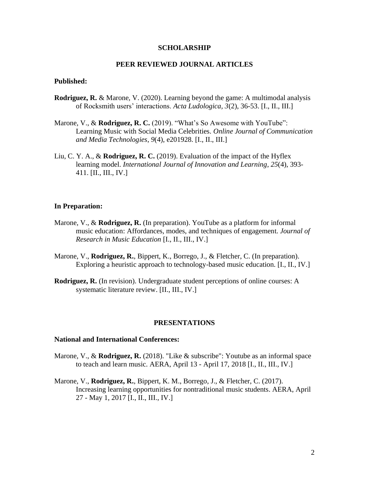## **SCHOLARSHIP**

## **PEER REVIEWED JOURNAL ARTICLES**

### **Published:**

- **Rodriguez, R.** & Marone, V. (2020). Learning beyond the game: A multimodal analysis of Rocksmith users' interactions. *Acta Ludologica, 3*(2), 36-53. [I., II., III.]
- Marone, V., & **Rodriguez, R. C.** (2019). "What's So Awesome with YouTube": Learning Music with Social Media Celebrities. *Online Journal of Communication and Media Technologies*, *9*(4), e201928. [I., II., III.]
- Liu, C. Y. A., & **Rodriguez, R. C.** (2019). Evaluation of the impact of the Hyflex learning model. *International Journal of Innovation and Learning*, *25*(4), 393- 411. [II., III., IV.]

### **In Preparation:**

- Marone, V., & **Rodriguez, R.** (In preparation). YouTube as a platform for informal music education: Affordances, modes, and techniques of engagement. *Journal of Research in Music Education* [I., II., III., IV.]
- Marone, V., **Rodriguez, R.**, Bippert, K., Borrego, J., & Fletcher, C. (In preparation). Exploring a heuristic approach to technology-based music education. [I., II., IV.]
- **Rodriguez, R.** (In revision). Undergraduate student perceptions of online courses: A systematic literature review. [II., III., IV.]

### **PRESENTATIONS**

#### **National and International Conferences:**

- Marone, V., & **Rodriguez, R.** (2018). "Like & subscribe": Youtube as an informal space to teach and learn music. AERA, April 13 - April 17, 2018 [I., II., III., IV.]
- Marone, V., **Rodriguez, R.**, Bippert, K. M., Borrego, J., & Fletcher, C. (2017). Increasing learning opportunities for nontraditional music students. AERA, April 27 - May 1, 2017 [I., II., III., IV.]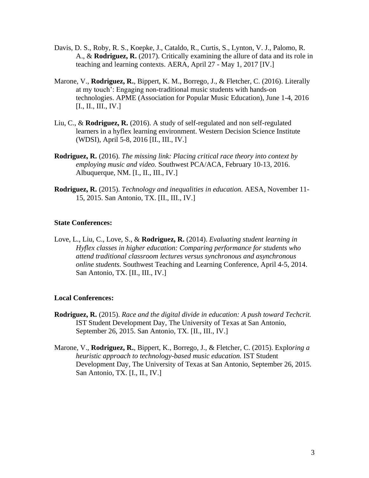- Davis, D. S., Roby, R. S., Koepke, J., Cataldo, R., Curtis, S., Lynton, V. J., Palomo, R. A., & **Rodriguez, R.** (2017). Critically examining the allure of data and its role in teaching and learning contexts. AERA, April 27 - May 1, 2017 [IV.]
- Marone, V., **Rodriguez, R.**, Bippert, K. M., Borrego, J., & Fletcher, C. (2016). Literally at my touch': Engaging non-traditional music students with hands-on technologies. APME (Association for Popular Music Education), June 1-4, 2016 [I., II., III., IV.]
- Liu, C., & **Rodriguez, R.** (2016). A study of self-regulated and non self-regulated learners in a hyflex learning environment. Western Decision Science Institute (WDSI), April 5-8, 2016 [II., III., IV.]
- **Rodriguez, R.** (2016). *The missing link: Placing critical race theory into context by employing music and video.* Southwest PCA/ACA, February 10-13, 2016. Albuquerque, NM. [I., II., III., IV.]
- **Rodriguez, R.** (2015). *Technology and inequalities in education.* AESA, November 11- 15, 2015. San Antonio, TX. [II., III., IV.]

## **State Conferences:**

Love, L., Liu, C., Love, S., & **Rodriguez, R.** (2014). *Evaluating student learning in Hyflex classes in higher education: Comparing performance for students who attend traditional classroom lectures versus synchronous and asynchronous online students.* Southwest Teaching and Learning Conference, April 4-5, 2014. San Antonio, TX. [II., III., IV.]

## **Local Conferences:**

- **Rodriguez, R.** (2015). *Race and the digital divide in education: A push toward Techcrit.* IST Student Development Day, The University of Texas at San Antonio, September 26, 2015. San Antonio, TX. [II., III., IV.]
- Marone, V., **Rodriguez, R.**, Bippert, K., Borrego, J., & Fletcher, C. (2015). Explo*ring a heuristic approach to technology-based music education.* IST Student Development Day, The University of Texas at San Antonio, September 26, 2015. San Antonio, TX. [I., II., IV.]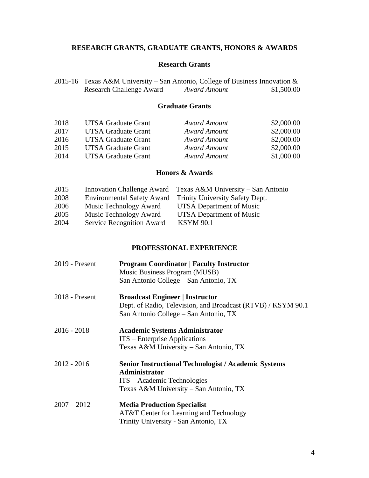# **RESEARCH GRANTS, GRADUATE GRANTS, HONORS & AWARDS**

# **Research Grants**

| 2015-16 Texas A&M University – San Antonio, College of Business Innovation & |              |            |
|------------------------------------------------------------------------------|--------------|------------|
| <b>Research Challenge Award</b>                                              | Award Amount | \$1,500.00 |

## **Graduate Grants**

| 2018 | <b>UTSA Graduate Grant</b> | Award Amount | \$2,000.00 |
|------|----------------------------|--------------|------------|
| 2017 | <b>UTSA Graduate Grant</b> | Award Amount | \$2,000.00 |
| 2016 | <b>UTSA Graduate Grant</b> | Award Amount | \$2,000.00 |
| 2015 | <b>UTSA Graduate Grant</b> | Award Amount | \$2,000.00 |
| 2014 | <b>UTSA Graduate Grant</b> | Award Amount | \$1,000.00 |

# **Honors & Awards**

| 2015 |                           | Innovation Challenge Award Texas A&M University – San Antonio |
|------|---------------------------|---------------------------------------------------------------|
| 2008 |                           | Environmental Safety Award Trinity University Safety Dept.    |
| 2006 | Music Technology Award    | UTSA Department of Music                                      |
| 2005 | Music Technology Award    | UTSA Department of Music                                      |
| 2004 | Service Recognition Award | <b>KSYM 90.1</b>                                              |

## **PROFESSIONAL EXPERIENCE**

| 2019 - Present   | <b>Program Coordinator   Faculty Instructor</b><br>Music Business Program (MUSB)                                                                             |
|------------------|--------------------------------------------------------------------------------------------------------------------------------------------------------------|
|                  | San Antonio College – San Antonio, TX                                                                                                                        |
| $2018$ - Present | <b>Broadcast Engineer   Instructor</b>                                                                                                                       |
|                  | Dept. of Radio, Television, and Broadcast (RTVB) / KSYM 90.1<br>San Antonio College – San Antonio, TX                                                        |
| $2016 - 2018$    | <b>Academic Systems Administrator</b><br>ITS – Enterprise Applications<br>Texas A&M University – San Antonio, TX                                             |
|                  |                                                                                                                                                              |
| $2012 - 2016$    | <b>Senior Instructional Technologist / Academic Systems</b><br><b>Administrator</b><br>ITS – Academic Technologies<br>Texas A&M University – San Antonio, TX |
| $2007 - 2012$    | <b>Media Production Specialist</b>                                                                                                                           |
|                  | AT&T Center for Learning and Technology<br>Trinity University - San Antonio, TX                                                                              |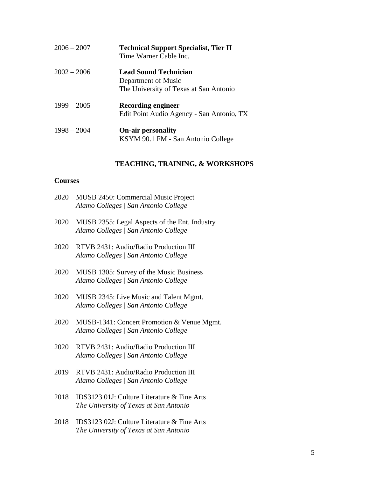| $2006 - 2007$ | <b>Technical Support Specialist, Tier II</b><br>Time Warner Cable Inc.                        |
|---------------|-----------------------------------------------------------------------------------------------|
| $2002 - 2006$ | <b>Lead Sound Technician</b><br>Department of Music<br>The University of Texas at San Antonio |
| $1999 - 2005$ | <b>Recording engineer</b><br>Edit Point Audio Agency - San Antonio, TX                        |
| $1998 - 2004$ | <b>On-air personality</b><br>KSYM 90.1 FM - San Antonio College                               |

## **TEACHING, TRAINING, & WORKSHOPS**

### **Courses**

| 2020 | MUSB 2450: Commercial Music Project  |
|------|--------------------------------------|
|      | Alamo Colleges   San Antonio College |

- 2020 MUSB 2355: Legal Aspects of the Ent. Industry *Alamo Colleges | San Antonio College*
- 2020 RTVB 2431: Audio/Radio Production III *Alamo Colleges | San Antonio College*
- 2020 MUSB 1305: Survey of the Music Business *Alamo Colleges | San Antonio College*
- 2020 MUSB 2345: Live Music and Talent Mgmt. *Alamo Colleges | San Antonio College*
- 2020 MUSB-1341: Concert Promotion & Venue Mgmt. *Alamo Colleges | San Antonio College*
- 2020 RTVB 2431: Audio/Radio Production III *Alamo Colleges | San Antonio College*
- 2019 RTVB 2431: Audio/Radio Production III *Alamo Colleges | San Antonio College*
- 2018 IDS3123 01J: Culture Literature & Fine Arts *The University of Texas at San Antonio*
- 2018 IDS3123 02J: Culture Literature & Fine Arts *The University of Texas at San Antonio*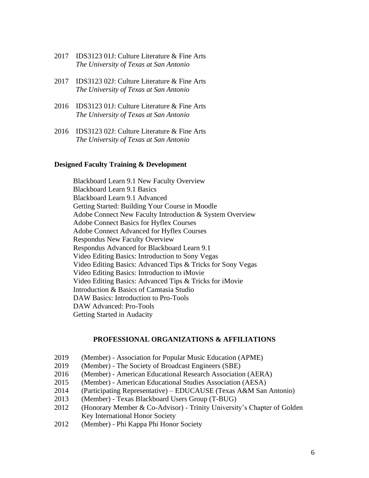- 2017 IDS3123 01J: Culture Literature & Fine Arts *The University of Texas at San Antonio*
- 2017 IDS3123 02J: Culture Literature & Fine Arts *The University of Texas at San Antonio*
- 2016 IDS3123 01J: Culture Literature & Fine Arts *The University of Texas at San Antonio*
- 2016 IDS3123 02J: Culture Literature & Fine Arts *The University of Texas at San Antonio*

## **Designed Faculty Training & Development**

Blackboard Learn 9.1 New Faculty Overview Blackboard Learn 9.1 Basics Blackboard Learn 9.1 Advanced Getting Started: Building Your Course in Moodle Adobe Connect New Faculty Introduction & System Overview Adobe Connect Basics for Hyflex Courses Adobe Connect Advanced for Hyflex Courses Respondus New Faculty Overview Respondus Advanced for Blackboard Learn 9.1 Video Editing Basics: Introduction to Sony Vegas Video Editing Basics: Advanced Tips & Tricks for Sony Vegas Video Editing Basics: Introduction to iMovie Video Editing Basics: Advanced Tips & Tricks for iMovie Introduction & Basics of Camtasia Studio DAW Basics: Introduction to Pro-Tools DAW Advanced: Pro-Tools Getting Started in Audacity

## **PROFESSIONAL ORGANIZATIONS & AFFILIATIONS**

- 2019 (Member) Association for Popular Music Education (APME)
- 2019 (Member) The Society of Broadcast Engineers (SBE)
- 2016 (Member) American Educational Research Association (AERA)
- 2015 (Member) American Educational Studies Association (AESA)
- 2014 (Participating Representative) EDUCAUSE (Texas A&M San Antonio)
- 2013 (Member) Texas Blackboard Users Group (T-BUG)
- 2012 (Honorary Member & Co-Advisor) Trinity University's Chapter of Golden Key International Honor Society
- 2012 (Member) Phi Kappa Phi Honor Society